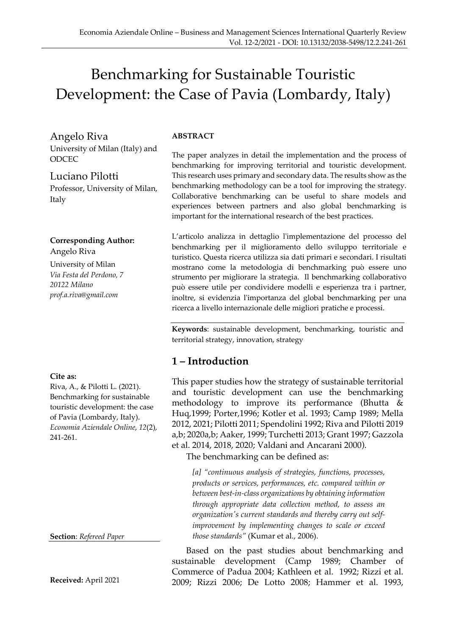# Benchmarking for Sustainable Touristic Development: the Case of Pavia (Lombardy, Italy)

Angelo Riva

University of Milan (Italy) and **ODCEC** 

Luciano Pilotti Professor, University of Milan, Italy

**Corresponding Author:**  Angelo Riva

University of Milan *Via Festa del Perdono, 7 20122 Milano prof.a.riva@gmail.com*

#### **Cite as:**

Riva, A., & Pilotti L. (2021). Benchmarking for sustainable touristic development: the case of Pavia (Lombardy, Italy). *Economia Aziendale Online*, *12*(2), 241-261.

**Section**: *Refereed Paper*

**Received:** April 2021

#### **ABSTRACT**

The paper analyzes in detail the implementation and the process of benchmarking for improving territorial and touristic development. This research uses primary and secondary data. The results show as the benchmarking methodology can be a tool for improving the strategy. Collaborative benchmarking can be useful to share models and experiences between partners and also global benchmarking is important for the international research of the best practices.

L'articolo analizza in dettaglio l'implementazione del processo del benchmarking per il miglioramento dello sviluppo territoriale e turistico. Questa ricerca utilizza sia dati primari e secondari. I risultati mostrano come la metodologia di benchmarking può essere uno strumento per migliorare la strategia. Il benchmarking collaborativo può essere utile per condividere modelli e esperienza tra i partner, inoltre, si evidenzia l'importanza del global benchmarking per una ricerca a livello internazionale delle migliori pratiche e processi.

**Keywords**: sustainable development, benchmarking, touristic and territorial strategy, innovation, strategy

### **1 – Introduction**

This paper studies how the strategy of sustainable territorial and touristic development can use the benchmarking methodology to improve its performance (Bhutta  $\&$ Huq,1999; Porter,1996; Kotler et al. 1993; Camp 1989; Mella 2012, 2021; Pilotti 2011; Spendolini 1992; Riva and Pilotti 2019 a,b; 2020a,b; Aaker, 1999; Turchetti 2013; Grant 1997; Gazzola et al. 2014, 2018, 2020; Valdani and Ancarani 2000).

The benchmarking can be defined as:

*[a] "continuous analysis of strategies, functions, processes, products or services, performances, etc. compared within or between best-in-class organizations by obtaining information through appropriate data collection method, to assess an organization's current standards and thereby carry out selfimprovement by implementing changes to scale or exceed those standards"* (Kumar et al., 2006).

Based on the past studies about benchmarking and sustainable development (Camp 1989; Chamber of Commerce of Padua 2004; Kathleen et al. 1992; Rizzi et al. 2009; Rizzi 2006; De Lotto 2008; Hammer et al. 1993,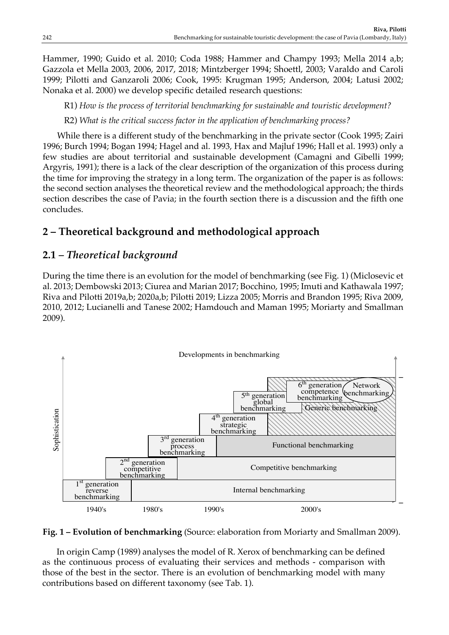Hammer, 1990; Guido et al. 2010; Coda 1988; Hammer and Champy 1993; Mella 2014 a,b; Gazzola et Mella 2003, 2006, 2017, 2018; Mintzberger 1994; Shoettl, 2003; Varaldo and Caroli 1999; Pilotti and Ganzaroli 2006; Cook, 1995: Krugman 1995; Anderson, 2004; Latusi 2002; Nonaka et al. 2000) we develop specific detailed research questions:

R1) *How is the process of territorial benchmarking for sustainable and touristic development?*

R2) *What is the critical success factor in the application of benchmarking process?*

While there is a different study of the benchmarking in the private sector (Cook 1995; Zairi 1996; Burch 1994; Bogan 1994; Hagel and al. 1993, Hax and Majluf 1996; Hall et al. 1993) only a few studies are about territorial and sustainable development (Camagni and Gibelli 1999; Argyris, 1991); there is a lack of the clear description of the organization of this process during the time for improving the strategy in a long term. The organization of the paper is as follows: the second section analyses the theoretical review and the methodological approach; the thirds section describes the case of Pavia; in the fourth section there is a discussion and the fifth one concludes.

# **2 – Theoretical background and methodological approach**

### **2.1** *– Theoretical background*

During the time there is an evolution for the model of benchmarking (see Fig. 1) (Miclosevic et al. 2013; Dembowski 2013; Ciurea and Marian 2017; Bocchino, 1995; Imuti and Kathawala 1997; Riva and Pilotti 2019a,b; 2020a,b; Pilotti 2019; Lizza 2005; Morris and Brandon 1995; Riva 2009, 2010, 2012; Lucianelli and Tanese 2002; Hamdouch and Maman 1995; Moriarty and Smallman 2009).





In origin Camp (1989) analyses the model of R. Xerox of benchmarking can be defined as the continuous process of evaluating their services and methods - comparison with and Rafiq (1993); Ahmed and Rafiq (1993); And  $\sigma$ those of the best in the sector. There is an evolution of benchmarking model with many contributions based on different taxonomy (see Tab. 1).  $\frac{1}{2}$  the light of the light of the that their primary competitors have been observed to the competitors have been observed to the competitors have been observed to the competitors have been observed to the competitor  $(4993)$  1 1 1  $(5)$   $(1)$  1 1  $(1)$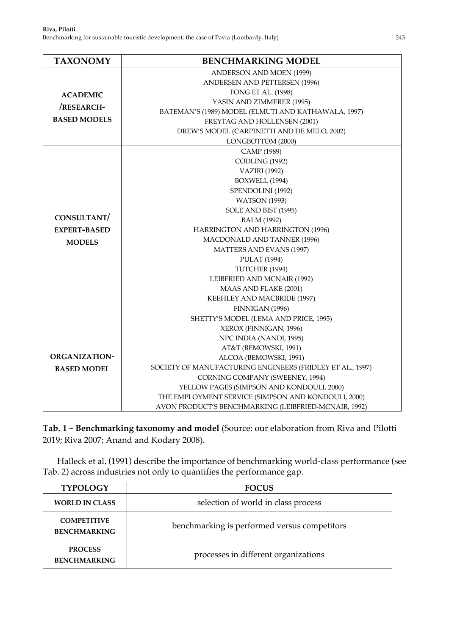| <b>TAXONOMY</b>                                         | <b>BENCHMARKING MODEL</b>                                 |  |  |
|---------------------------------------------------------|-----------------------------------------------------------|--|--|
|                                                         | ANDERSON AND MOEN (1999)                                  |  |  |
|                                                         | ANDERSEN AND PETTERSEN (1996)                             |  |  |
| <b>ACADEMIC</b>                                         | FONG ET AL. (1998)                                        |  |  |
| /RESEARCH-                                              | YASIN AND ZIMMERER (1995)                                 |  |  |
|                                                         | BATEMAN'S (1989) MODEL (ELMUTI AND KATHAWALA, 1997)       |  |  |
| <b>BASED MODELS</b>                                     | FREYTAG AND HOLLENSEN (2001)                              |  |  |
|                                                         | DREW'S MODEL (CARPINETTI AND DE MELO, 2002)               |  |  |
|                                                         | LONGBOTTOM (2000)                                         |  |  |
|                                                         | CAMP (1989)                                               |  |  |
|                                                         | CODLING (1992)                                            |  |  |
|                                                         | <b>VAZIRI</b> (1992)                                      |  |  |
|                                                         | BOXWELL (1994)                                            |  |  |
|                                                         | SPENDOLINI (1992)                                         |  |  |
|                                                         | <b>WATSON</b> (1993)                                      |  |  |
|                                                         | SOLE AND BIST (1995)                                      |  |  |
| CONSULTANT/                                             | <b>BALM</b> (1992)                                        |  |  |
| HARRINGTON AND HARRINGTON (1996)<br><b>EXPERT-BASED</b> |                                                           |  |  |
| <b>MODELS</b>                                           | MACDONALD AND TANNER (1996)                               |  |  |
|                                                         | <b>MATTERS AND EVANS (1997)</b>                           |  |  |
|                                                         | <b>PULAT</b> (1994)                                       |  |  |
|                                                         | TUTCHER (1994)                                            |  |  |
|                                                         | LEIBFRIED AND MCNAIR (1992)                               |  |  |
|                                                         | MAAS AND FLAKE (2001)                                     |  |  |
|                                                         | KEEHLEY AND MACBRIDE (1997)                               |  |  |
|                                                         | FINNIGAN (1996)                                           |  |  |
|                                                         | SHETTY'S MODEL (LEMA AND PRICE, 1995)                     |  |  |
|                                                         | XEROX (FINNIGAN, 1996)                                    |  |  |
|                                                         | NPC INDIA (NANDI, 1995)                                   |  |  |
|                                                         | AT&T (BEMOWSKI, 1991)                                     |  |  |
| <b>ORGANIZATION-</b>                                    | ALCOA (BEMOWSKI, 1991)                                    |  |  |
| <b>BASED MODEL</b>                                      | SOCIETY OF MANUFACTURING ENGINEERS (FRIDLEY ET AL., 1997) |  |  |
|                                                         | CORNING COMPANY (SWEENEY, 1994)                           |  |  |
|                                                         | YELLOW PAGES (SIMPSON AND KONDOULI, 2000)                 |  |  |
|                                                         | THE EMPLOYMENT SERVICE (SIMPSON AND KONDOULI, 2000)       |  |  |
|                                                         | AVON PRODUCT'S BENCHMARKING (LEIBFRIED-MCNAIR, 1992)      |  |  |

**Tab. 1 – Benchmarking taxonomy and model** (Source: our elaboration from Riva and Pilotti 2019; Riva 2007; Anand and Kodary 2008).

Halleck et al. (1991) describe the importance of benchmarking world-class performance (see Tab. 2) across industries not only to quantifies the performance gap.

| <b>TYPOLOGY</b>                           | <b>FOCUS</b>                                 |  |  |
|-------------------------------------------|----------------------------------------------|--|--|
| <b>WORLD IN CLASS</b>                     | selection of world in class process          |  |  |
| <b>COMPETITIVE</b><br><b>BENCHMARKING</b> | benchmarking is performed versus competitors |  |  |
| <b>PROCESS</b><br><b>BENCHMARKING</b>     | processes in different organizations         |  |  |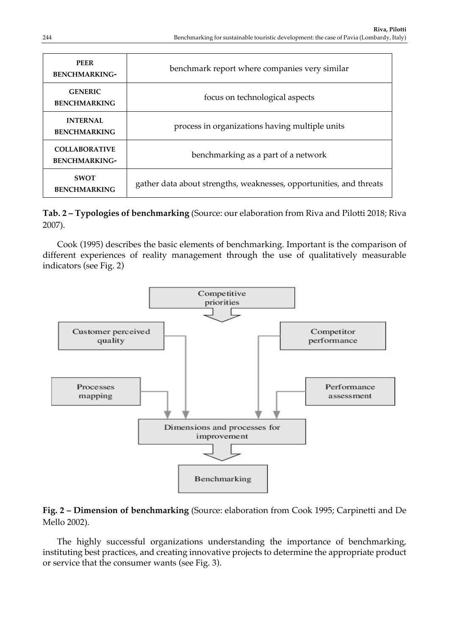| <b>PEER</b><br><b>BENCHMARKING-</b>          | benchmark report where companies very similar                       |  |
|----------------------------------------------|---------------------------------------------------------------------|--|
| <b>GENERIC</b><br><b>BENCHMARKING</b>        | focus on technological aspects                                      |  |
| <b>INTERNAL</b><br><b>BENCHMARKING</b>       | process in organizations having multiple units                      |  |
| <b>COLLABORATIVE</b><br><b>BENCHMARKING-</b> | benchmarking as a part of a network                                 |  |
| <b>SWOT</b><br><b>BENCHMARKING</b>           | gather data about strengths, weaknesses, opportunities, and threats |  |

#### **Tab. 2 – Typologies of benchmarking** (Source: our elaboration from Riva and Pilotti 2018; Riva 2007).

Cook (1995) describes the basic elements of benchmarking. Important is the comparison of different experiences of reality management through the use of qualitatively measurable indicators (see Fig. 2)



#### **Fig. 2 – Dimension of benchmarking** (Source: elaboration from Cook 1995; Carpinetti and De Mello 2002).

The highly successful organizations understanding the importance of benchmarking, instituting best practices, and creating innovative projects to determine the appropriate product or service that the consumer wants (see Fig. 3).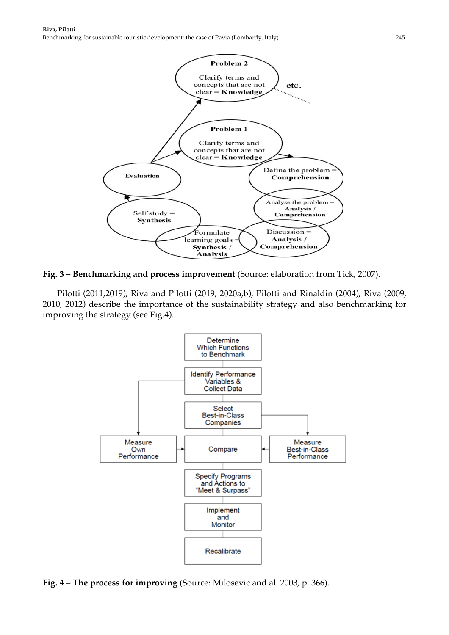

**Fig. 3 – Benchmarking and process improvement** (Source: elaboration from Tick, 2007).

Pilotti (2011,2019), Riva and Pilotti (2019, 2020a,b), Pilotti and Rinaldin (2004), Riva (2009, 2010, 2012) describe the importance of the sustainability strategy and also benchmarking for improving the strategy (see Fig.4).



**Fig. 4 – The process for improving** (Source: Milosevic and al. 2003, p. 366).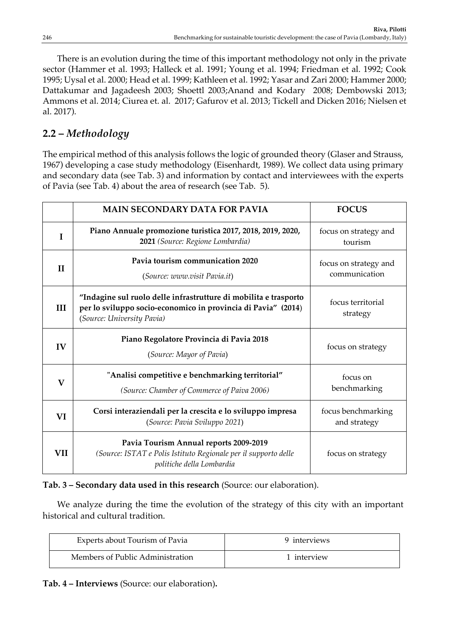There is an evolution during the time of this important methodology not only in the private sector (Hammer et al. 1993; Halleck et al. 1991; Young et al. 1994; Friedman et al. 1992; Cook 1995; Uysal et al. 2000; Head et al. 1999; Kathleen et al. 1992; Yasar and Zari 2000; Hammer 2000; Dattakumar and Jagadeesh 2003; Shoettl 2003;Anand and Kodary 2008; Dembowski 2013; Ammons et al. 2014; Ciurea et. al. 2017; Gafurov et al. 2013; Tickell and Dicken 2016; Nielsen et al. 2017).

### **2.2 –** *Methodology*

The empirical method of this analysis follows the logic of grounded theory (Glaser and Strauss, 1967) developing a case study methodology (Eisenhardt, 1989). We collect data using primary and secondary data (see Tab. 3) and information by contact and interviewees with the experts of Pavia (see Tab. 4) about the area of research (see Tab. 5).

|              | <b>MAIN SECONDARY DATA FOR PAVIA</b>                                                                                                                            | <b>FOCUS</b>                           |
|--------------|-----------------------------------------------------------------------------------------------------------------------------------------------------------------|----------------------------------------|
| I            | Piano Annuale promozione turistica 2017, 2018, 2019, 2020,<br>2021 (Source: Regione Lombardia)                                                                  | focus on strategy and<br>tourism       |
| $\mathbf{I}$ | Pavia tourism communication 2020<br>(Source: www.visit Pavia.it)                                                                                                | focus on strategy and<br>communication |
| III          | "Indagine sul ruolo delle infrastrutture di mobilita e trasporto<br>per lo sviluppo socio-economico in provincia di Pavia" (2014)<br>(Source: University Pavia) | focus territorial<br>strategy          |
| IV           | Piano Regolatore Provincia di Pavia 2018<br>(Source: Mayor of Pavia)                                                                                            | focus on strategy                      |
| $\mathbf{V}$ | "Analisi competitive e benchmarking territorial"<br>(Source: Chamber of Commerce of Paiva 2006)                                                                 | focus on<br>benchmarking               |
| VI           | Corsi interaziendali per la crescita e lo sviluppo impresa<br>(Source: Pavia Sviluppo 2021)                                                                     | focus benchmarking<br>and strategy     |
| VII          | Pavia Tourism Annual reports 2009-2019<br>(Source: ISTAT e Polis Istituto Regionale per il supporto delle<br>politiche della Lombardia                          | focus on strategy                      |

#### **Tab. 3 – Secondary data used in this research** (Source: our elaboration).

We analyze during the time the evolution of the strategy of this city with an important historical and cultural tradition.

| Experts about Tourism of Pavia   | 9 interviews |
|----------------------------------|--------------|
| Members of Public Administration | 1 interview  |

**Tab. 4 – Interviews** (Source: our elaboration)**.**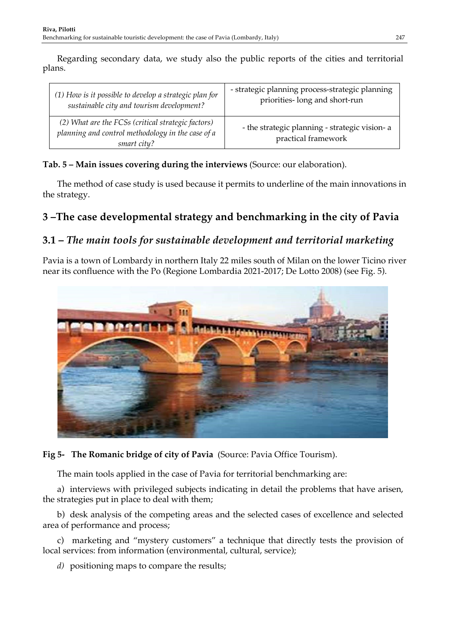Regarding secondary data, we study also the public reports of the cities and territorial plans.

| (1) How is it possible to develop a strategic plan for                                                                 | - strategic planning process-strategic planning                       |
|------------------------------------------------------------------------------------------------------------------------|-----------------------------------------------------------------------|
| sustainable city and tourism development?                                                                              | priorities-long and short-run                                         |
| (2) What are the FCSs (critical strategic factors)<br>planning and control methodology in the case of a<br>smart city? | - the strategic planning - strategic vision- a<br>practical framework |

**Tab. 5 – Main issues covering during the interviews** (Source: our elaboration).

The method of case study is used because it permits to underline of the main innovations in the strategy.

# **3 –The case developmental strategy and benchmarking in the city of Pavia**

### **3.1 –** *The main tools for sustainable development and territorial marketing*

Pavia is a town of Lombardy in northern Italy 22 miles south of Milan on the lower Ticino river near its confluence with the Po (Regione Lombardia 2021-2017; De Lotto 2008) (see Fig. 5).



**Fig 5- The Romanic bridge of city of Pavia** (Source: Pavia Office Tourism).

The main tools applied in the case of Pavia for territorial benchmarking are:

a) interviews with privileged subjects indicating in detail the problems that have arisen, the strategies put in place to deal with them;

b) desk analysis of the competing areas and the selected cases of excellence and selected area of performance and process;

c) marketing and "mystery customers" a technique that directly tests the provision of local services: from information (environmental, cultural, service);

*d)* positioning maps to compare the results;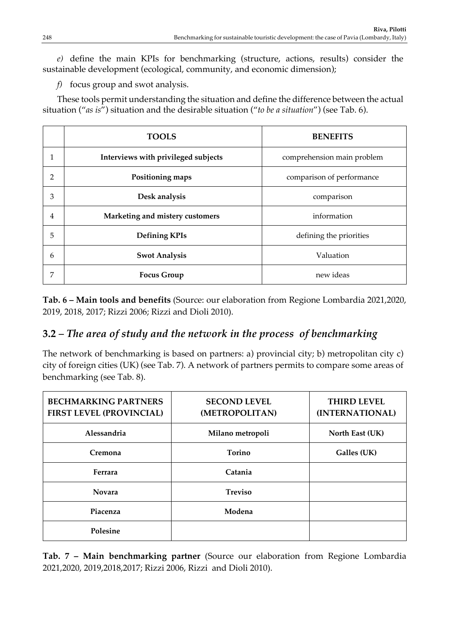*e)* define the main KPIs for benchmarking (structure, actions, results) consider the sustainable development (ecological, community, and economic dimension);

*f)* focus group and swot analysis.

These tools permit understanding the situation and define the difference between the actual situation ("*as is*") situation and the desirable situation ("*to be a situation*") (see Tab. 6).

|   | <b>TOOLS</b><br><b>BENEFITS</b>                 |                            |  |
|---|-------------------------------------------------|----------------------------|--|
| 1 | Interviews with privileged subjects             | comprehension main problem |  |
| 2 | Positioning maps                                | comparison of performance  |  |
| 3 | Desk analysis                                   | comparison                 |  |
| 4 | Marketing and mistery customers                 | information                |  |
| 5 | <b>Defining KPIs</b><br>defining the priorities |                            |  |
| 6 | <b>Swot Analysis</b>                            | Valuation                  |  |
| 7 | <b>Focus Group</b>                              | new ideas                  |  |

**Tab. 6 – Main tools and benefits** (Source: our elaboration from Regione Lombardia 2021,2020, 2019, 2018, 2017; Rizzi 2006; Rizzi and Dioli 2010).

### **3.2** *– The area of study and the network in the process of benchmarking*

The network of benchmarking is based on partners: a) provincial city; b) metropolitan city c) city of foreign cities (UK) (see Tab. 7). A network of partners permits to compare some areas of benchmarking (see Tab. 8).

| <b>BECHMARKING PARTNERS</b><br><b>FIRST LEVEL (PROVINCIAL)</b> | <b>SECOND LEVEL</b><br>(METROPOLITAN) | <b>THIRD LEVEL</b><br>(INTERNATIONAL) |
|----------------------------------------------------------------|---------------------------------------|---------------------------------------|
| Alessandria                                                    | Milano metropoli                      | North East (UK)                       |
| Cremona                                                        | <b>Torino</b>                         | Galles (UK)                           |
| Ferrara                                                        | Catania                               |                                       |
| <b>Novara</b>                                                  | <b>Treviso</b>                        |                                       |
| Piacenza                                                       | Modena                                |                                       |
| Polesine                                                       |                                       |                                       |

**Tab. 7 – Main benchmarking partner** (Source our elaboration from Regione Lombardia 2021,2020, 2019,2018,2017; Rizzi 2006, Rizzi and Dioli 2010).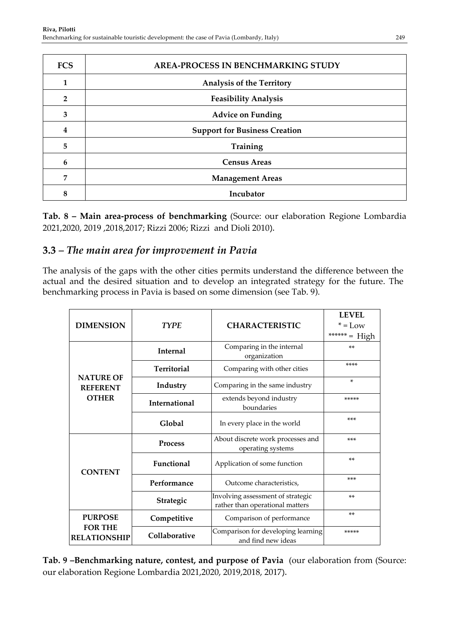| <b>FCS</b>     | <b>AREA-PROCESS IN BENCHMARKING STUDY</b> |  |
|----------------|-------------------------------------------|--|
| 1              | <b>Analysis of the Territory</b>          |  |
| $\overline{2}$ | <b>Feasibility Analysis</b>               |  |
| 3              | <b>Advice on Funding</b>                  |  |
| 4              | <b>Support for Business Creation</b>      |  |
| 5              | <b>Training</b>                           |  |
| 6              | <b>Census Areas</b>                       |  |
| 7              | <b>Management Areas</b>                   |  |
| 8              | Incubator                                 |  |

**Tab. 8 – Main area-process of benchmarking** (Source: our elaboration Regione Lombardia 2021,2020, 2019 ,2018,2017; Rizzi 2006; Rizzi and Dioli 2010).

### **3.3** *– The main area for improvement in Pavia*

The analysis of the gaps with the other cities permits understand the difference between the actual and the desired situation and to develop an integrated strategy for the future. The benchmarking process in Pavia is based on some dimension (see Tab. 9).

| <b>DIMENSION</b>                      | <b>TYPE</b>          | <b>CHARACTERISTIC</b>                                                | <b>LEVEL</b><br>$* = Low$<br>****** = High |
|---------------------------------------|----------------------|----------------------------------------------------------------------|--------------------------------------------|
|                                       | <b>Internal</b>      | Comparing in the internal<br>organization                            | $**$                                       |
|                                       | <b>Territorial</b>   | Comparing with other cities                                          | ****                                       |
| <b>NATURE OF</b><br><b>REFERENT</b>   | Industry             | Comparing in the same industry                                       | $\ast$                                     |
| <b>OTHER</b>                          | <b>International</b> | extends beyond industry<br>boundaries                                | *****                                      |
|                                       | Global               | In every place in the world                                          | $***$                                      |
|                                       | <b>Process</b>       | About discrete work processes and<br>operating systems               | $***$                                      |
| <b>CONTENT</b>                        | Functional           | Application of some function                                         | $**$                                       |
|                                       | Performance          | Outcome characteristics,                                             | ***                                        |
|                                       | Strategic            | Involving assessment of strategic<br>rather than operational matters | $**$                                       |
| <b>PURPOSE</b>                        | Competitive          | Comparison of performance                                            | $**$                                       |
| <b>FOR THE</b><br><b>RELATIONSHIP</b> | Collaborative        | Comparison for developing learning<br>and find new ideas             | *****                                      |

**Tab. 9 –Benchmarking nature, contest, and purpose of Pavia** (our elaboration from (Source: our elaboration Regione Lombardia 2021,2020, 2019,2018, 2017).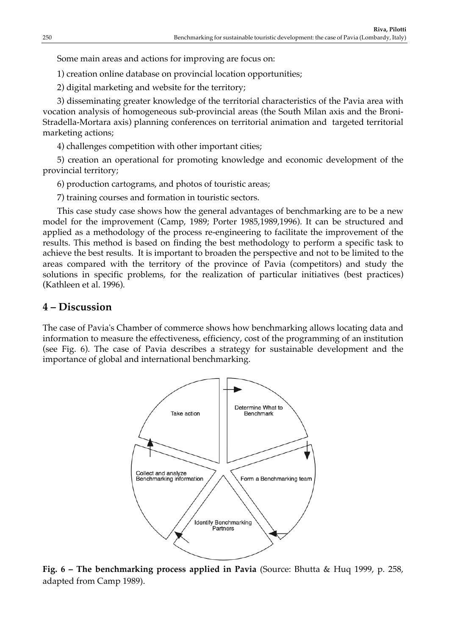Some main areas and actions for improving are focus on:

1) creation online database on provincial location opportunities;

2) digital marketing and website for the territory;

3) disseminating greater knowledge of the territorial characteristics of the Pavia area with vocation analysis of homogeneous sub-provincial areas (the South Milan axis and the Broni-Stradella-Mortara axis) planning conferences on territorial animation and targeted territorial marketing actions;

4) challenges competition with other important cities;

5) creation an operational for promoting knowledge and economic development of the provincial territory;

6) production cartograms, and photos of touristic areas;

7) training courses and formation in touristic sectors.

This case study case shows how the general advantages of benchmarking are to be a new model for the improvement (Camp, 1989; Porter 1985,1989,1996). It can be structured and applied as a methodology of the process re-engineering to facilitate the improvement of the results. This method is based on finding the best methodology to perform a specific task to achieve the best results. It is important to broaden the perspective and not to be limited to the areas compared with the territory of the province of Pavia (competitors) and study the solutions in specific problems, for the realization of particular initiatives (best practices) (Kathleen et al. 1996).

### **4 – Discussion**

The case of Pavia's Chamber of commerce shows how benchmarking allows locating data and information to measure the effectiveness, efficiency, cost of the programming of an institution (see Fig. 6). The case of Pavia describes a strategy for sustainable development and the importance of global and international benchmarking.



**Fig. 6 – The benchmarking process applied in Pavia** (Source: Bhutta & Huq 1999, p. 258, adapted from Camp 1989).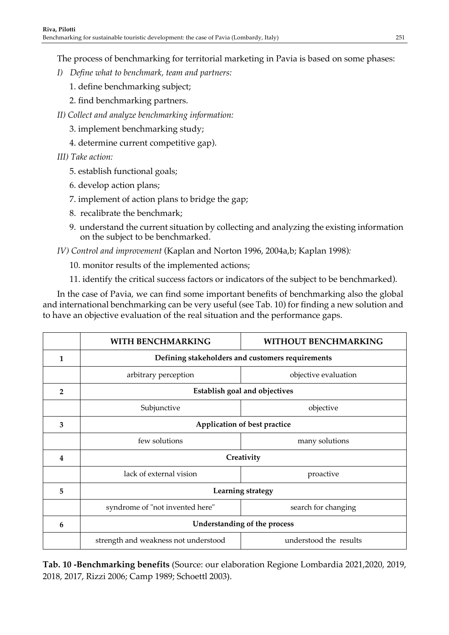The process of benchmarking for territorial marketing in Pavia is based on some phases:

- *I) Define what to benchmark, team and partners:*
	- 1. define benchmarking subject;
	- 2. find benchmarking partners.
- *II) Collect and analyze benchmarking information:*
	- 3. implement benchmarking study;
	- 4. determine current competitive gap).
- *III) Take action:*
	- 5. establish functional goals;
	- 6. develop action plans;
	- 7. implement of action plans to bridge the gap;
	- 8. recalibrate the benchmark;
	- 9. understand the current situation by collecting and analyzing the existing information on the subject to be benchmarked.

*IV) Control and improvement* (Kaplan and Norton 1996, 2004a,b; Kaplan 1998)*:* 

10. monitor results of the implemented actions;

11. identify the critical success factors or indicators of the subject to be benchmarked).

In the case of Pavia, we can find some important benefits of benchmarking also the global and international benchmarking can be very useful (see Tab. 10) for finding a new solution and to have an objective evaluation of the real situation and the performance gaps.

|                | <b>WITH BENCHMARKING</b>                         | <b>WITHOUT BENCHMARKING</b> |  |
|----------------|--------------------------------------------------|-----------------------------|--|
| 1              | Defining stakeholders and customers requirements |                             |  |
|                | arbitrary perception                             | objective evaluation        |  |
| $\overline{2}$ | <b>Establish goal and objectives</b>             |                             |  |
|                | Subjunctive                                      | objective                   |  |
| 3              | Application of best practice                     |                             |  |
|                | few solutions                                    | many solutions              |  |
| 4              | Creativity                                       |                             |  |
|                | lack of external vision                          | proactive                   |  |
| 5              | Learning strategy                                |                             |  |
|                | syndrome of "not invented here"                  | search for changing         |  |
| 6              | Understanding of the process                     |                             |  |
|                | strength and weakness not understood             | understood the results      |  |

**Tab. 10 -Benchmarking benefits** (Source: our elaboration Regione Lombardia 2021,2020, 2019, 2018, 2017, Rizzi 2006; Camp 1989; Schoettl 2003).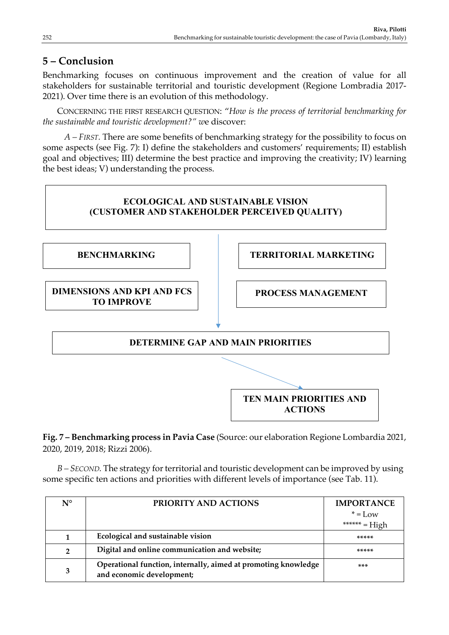### **5 – Conclusion**

Benchmarking focuses on continuous improvement and the creation of value for all stakeholders for sustainable territorial and touristic development (Regione Lombradia 2017- 2021). Over time there is an evolution of this methodology.

CONCERNING THE FIRST RESEARCH QUESTION: "*How is the process of territorial benchmarking for the sustainable and touristic development?" w*e discover:

*A – FIRST.* There are some benefits of benchmarking strategy for the possibility to focus on some aspects (see Fig. 7): I) define the stakeholders and customers' requirements; II) establish goal and objectives; III) determine the best practice and improving the creativity; IV) learning the best ideas; V) understanding the process.



**Fig. 7 – Benchmarking process in Pavia Case** (Source: our elaboration Regione Lombardia 2021, 2020, 2019, 2018; Rizzi 2006).

*B – SECOND.* The strategy for territorial and touristic development can be improved by using some specific ten actions and priorities with different levels of importance (see Tab. 11).

| $N^{\circ}$    | PRIORITY AND ACTIONS                                                                        | <b>IMPORTANCE</b> |
|----------------|---------------------------------------------------------------------------------------------|-------------------|
|                |                                                                                             | $* = Low$         |
|                |                                                                                             | ****** = High     |
|                | Ecological and sustainable vision                                                           | *****             |
| $\overline{2}$ | Digital and online communication and website;                                               | *****             |
| 3              | Operational function, internally, aimed at promoting knowledge<br>and economic development; | ***               |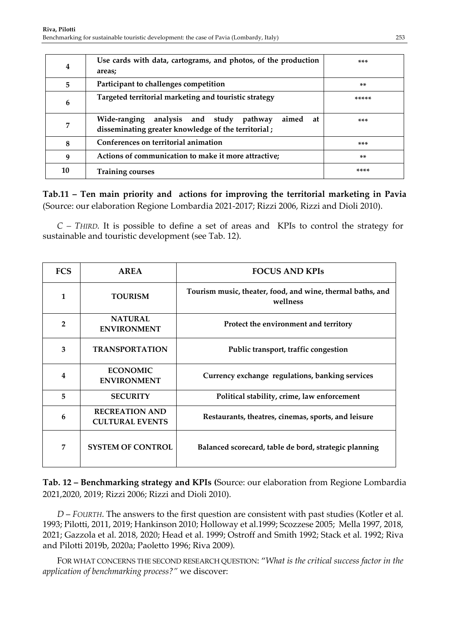| $\overline{4}$ | Use cards with data, cartograms, and photos, of the production                                                | ***   |
|----------------|---------------------------------------------------------------------------------------------------------------|-------|
|                | areas;                                                                                                        |       |
| 5              | Participant to challenges competition<br>**                                                                   |       |
| 6              | Targeted territorial marketing and touristic strategy                                                         | ***** |
| 7              | Wide-ranging analysis and study pathway<br>aimed<br>at<br>disseminating greater knowledge of the territorial; | ***   |
| 8              | Conferences on territorial animation<br>***                                                                   |       |
| 9              | Actions of communication to make it more attractive;                                                          | **    |
| 10             | <b>Training courses</b>                                                                                       | ****  |

**Tab.11 – Ten main priority and actions for improving the territorial marketing in Pavia**  (Source: our elaboration Regione Lombardia 2021-2017; Rizzi 2006, Rizzi and Dioli 2010).

*C – THIRD.* It is possible to define a set of areas and KPIs to control the strategy for sustainable and touristic development (see Tab. 12).

| <b>FCS</b>     | <b>AREA</b>                                     | <b>FOCUS AND KPIS</b>                                                  |
|----------------|-------------------------------------------------|------------------------------------------------------------------------|
| 1              | <b>TOURISM</b>                                  | Tourism music, theater, food, and wine, thermal baths, and<br>wellness |
| $\overline{2}$ | <b>NATURAL</b><br><b>ENVIRONMENT</b>            | Protect the environment and territory                                  |
| 3              | <b>TRANSPORTATION</b>                           | Public transport, traffic congestion                                   |
| $\overline{4}$ | <b>ECONOMIC</b><br><b>ENVIRONMENT</b>           | Currency exchange regulations, banking services                        |
| 5              | <b>SECURITY</b>                                 | Political stability, crime, law enforcement                            |
| 6              | <b>RECREATION AND</b><br><b>CULTURAL EVENTS</b> | Restaurants, theatres, cinemas, sports, and leisure                    |
| 7              | <b>SYSTEM OF CONTROL</b>                        | Balanced scorecard, table de bord, strategic planning                  |

**Tab. 12 – Benchmarking strategy and KPIs (**Source: our elaboration from Regione Lombardia 2021,2020, 2019; Rizzi 2006; Rizzi and Dioli 2010).

*D* – *FOURTH*. The answers to the first question are consistent with past studies (Kotler et al. 1993; Pilotti, 2011, 2019; Hankinson 2010; Holloway et al.1999; Scozzese 2005; Mella 1997, 2018, 2021; Gazzola et al. 2018, 2020; Head et al. 1999; Ostroff and Smith 1992; Stack et al. 1992; Riva and Pilotti 2019b, 2020a; Paoletto 1996; Riva 2009).

FOR WHAT CONCERNS THE SECOND RESEARCH QUESTION: "*What is the critical success factor in the application of benchmarking process?"* we discover: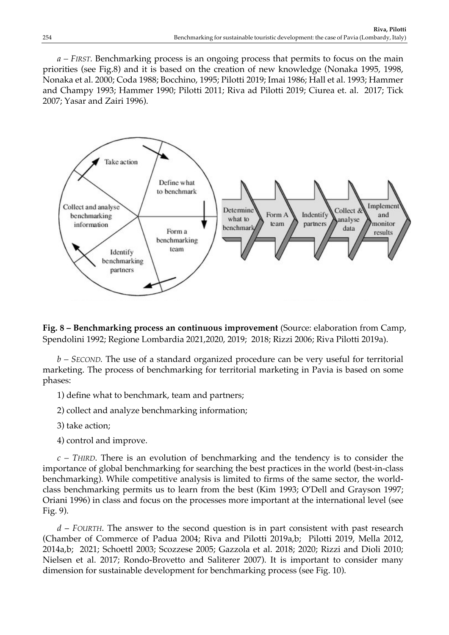*a – FIRST.* Benchmarking process is an ongoing process that permits to focus on the main priorities (see Fig.8) and it is based on the creation of new knowledge (Nonaka 1995, 1998, Nonaka et al. 2000; Coda 1988; Bocchino, 1995; Pilotti 2019; Imai 1986; Hall et al. 1993; Hammer and Champy 1993; Hammer 1990; Pilotti 2011; Riva ad Pilotti 2019; Ciurea et. al. 2017; Tick 2007; Yasar and Zairi 1996).



**Fig. 8 – Benchmarking process an continuous improvement** (Source: elaboration from Camp, Spendolini 1992; Regione Lombardia 2021,2020, 2019; 2018; Rizzi 2006; Riva Pilotti 2019a).

*b – SECOND.* The use of a standard organized procedure can be very useful for territorial marketing. The process of benchmarking for territorial marketing in Pavia is based on some phases:

1) define what to benchmark, team and partners;

2) collect and analyze benchmarking information;

- 3) take action;
- 4) control and improve.

*c – THIRD*. There is an evolution of benchmarking and the tendency is to consider the importance of global benchmarking for searching the best practices in the world (best-in-class benchmarking). While competitive analysis is limited to firms of the same sector, the worldclass benchmarking permits us to learn from the best (Kim 1993; O'Dell and Grayson 1997; Oriani 1996) in class and focus on the processes more important at the international level (see Fig. 9).

*d* – *FOURTH*. The answer to the second question is in part consistent with past research (Chamber of Commerce of Padua 2004; Riva and Pilotti 2019a,b; Pilotti 2019, Mella 2012, 2014a,b; 2021; Schoettl 2003; Scozzese 2005; Gazzola et al. 2018; 2020; Rizzi and Dioli 2010; Nielsen et al. 2017; Rondo-Brovetto and Saliterer 2007). It is important to consider many dimension for sustainable development for benchmarking process (see Fig. 10).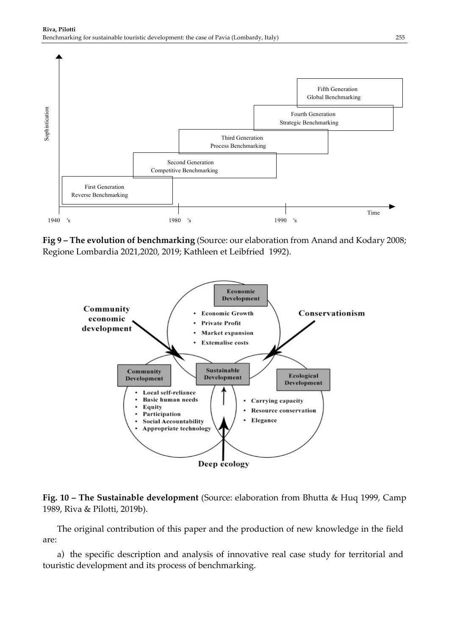

**Fig 9 – The evolution of benchmarking** (Source: our elaboration from Anand and Kodary 2008; Regione Lombardia 2021,2020, 2019; Kathleen et Leibfried 1992).



#### **Fig. 10 – The Sustainable development** (Source: elaboration from Bhutta & Huq 1999, Camp 1989, Riva & Pilotti, 2019b).

The original contribution of this paper and the production of new knowledge in the field are:

a) the specific description and analysis of innovative real case study for territorial and touristic development and its process of benchmarking.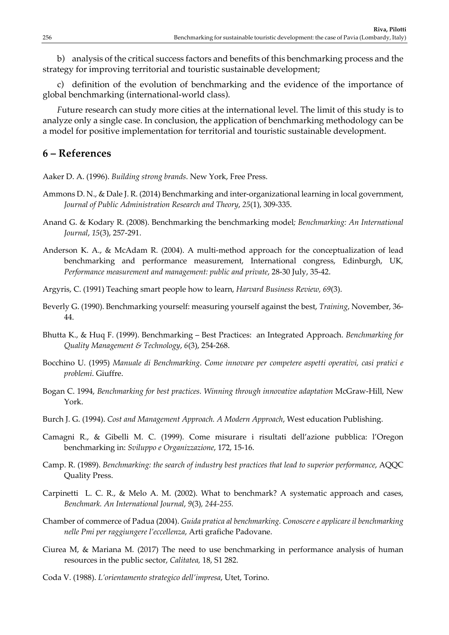b) analysis of the critical success factors and benefits of this benchmarking process and the strategy for improving territorial and touristic sustainable development;

c) definition of the evolution of benchmarking and the evidence of the importance of global benchmarking (international-world class).

*F*uture research can study more cities at the international level. The limit of this study is to analyze only a single case. In conclusion, the application of benchmarking methodology can be a model for positive implementation for territorial and touristic sustainable development.

### **6 – References**

Aaker D. A. (1996). *Building strong brands*. New York, Free Press.

- Ammons D. N., & Dale J. R. (2014) Benchmarking and inter-organizational learning in local government, *Journal of Public Administration Research and Theory*, *25*(1), 309-335.
- Anand G. & Kodary R. (2008). Benchmarking the benchmarking model*; Benchmarking: An International Journal*, *15*(3), 257-291.
- Anderson K. A., & McAdam R. (2004). A multi-method approach for the conceptualization of lead benchmarking and performance measurement, International congress, Edinburgh, UK*, Performance measurement and management: public and private*, 28-30 July, 35-42.
- Argyris, C. (1991) Teaching smart people how to learn, *Harvard Business Review, 69*(3).
- Beverly G. (1990). Benchmarking yourself: measuring yourself against the best, *Training*, November, 36- 44.
- Bhutta K., & Huq F. (1999). Benchmarking Best Practices: an Integrated Approach. *Benchmarking for Quality Management & Technology*, *6*(3), 254-268.
- Bocchino U. (1995) *Manuale di Benchmarking*. *Come innovare per competere aspetti operativi, casi pratici e problemi*. Giuffre.
- Bogan C. 1994, *Benchmarking for best practices. Winning through innovative adaptation* McGraw-Hill, New York.
- Burch J. G. (1994). *Cost and Management Approach. A Modern Approach*, West education Publishing.
- Camagni R., & Gibelli M. C. (1999). Come misurare i risultati dell'azione pubblica: l'Oregon benchmarking in: *Sviluppo e Organizzazione*, 172, 15-16.
- Camp. R. (1989). *Benchmarking: the search of industry best practices that lead to superior performance*, AQQC Quality Press.
- Carpinetti L. C. R., & Melo A. M. (2002). What to benchmark? A systematic approach and cases, *Benchmark. An International Journal*, *9*(3)*, 244-255.*
- Chamber of commerce of Padua (2004). *Guida pratica al benchmarking. Conoscere e applicare il benchmarking nelle Pmi per raggiungere l'eccellenza*, Arti grafiche Padovane.
- Ciurea M, & Mariana M. (2017) The need to use benchmarking in performance analysis of human resources in the public sector, *Calitatea,* 18, S1 282.
- Coda V. (1988). *L'orientamento strategico dell'impresa*, Utet, Torino.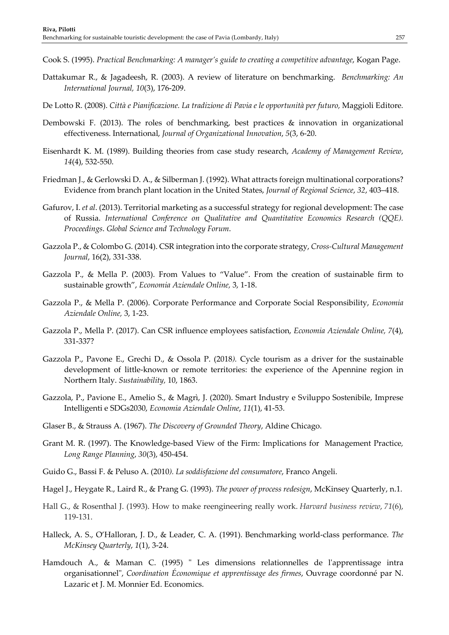- Cook S. (1995). *Practical Benchmarking: A manager's guide to creating a competitive advantage*, Kogan Page.
- Dattakumar R., & Jagadeesh, R. (2003). A review of literature on benchmarking. *Benchmarking: An International Journal, 10*(3), 176-209.
- De Lotto R. (2008). *Città e Pianificazione. La tradizione di Pavia e le opportunità per futuro,* Maggioli Editore*.*
- Dembowski F. (2013). The roles of benchmarking, best practices & innovation in organizational effectiveness. International, *Journal of Organizational Innovation*, *5*(3, 6-20.
- Eisenhardt K. M. (1989). Building theories from case study research, *Academy of Management Review*, *14*(4), 532-550.
- Friedman J., & Gerlowski D. A., & Silberman J. (1992). What attracts foreign multinational corporations? Evidence from branch plant location in the United States, *Journal of Regional Science*, *32*, 403–418.
- Gafurov, I. *et al*. (2013). Territorial marketing as a successful strategy for regional development: The case of Russia. *International Conference on Qualitative and Quantitative Economics Research (QQE). Proceedings*. *Global Science and Technology Forum*.
- Gazzola P., & Colombo G. (2014). CSR integration into the corporate strategy, *Cross-Cultural Management Journal*, 16(2), 331-338.
- Gazzola P., & Mella P. (2003). From Values to "Value". From the creation of sustainable firm to sustainable growth", *Economia Aziendale Online,* 3, 1-18.
- Gazzola P., & Mella P. (2006). Corporate Performance and Corporate Social Responsibility, *Economia Aziendale Online,* 3, 1-23.
- Gazzola P., Mella P. (2017). Can CSR influence employees satisfaction, *Economia Aziendale Online, 7*(4), 331-337?
- Gazzola P., Pavone E., Grechi D., & Ossola P. (2018*).* Cycle tourism as a driver for the sustainable development of little-known or remote territories: the experience of the Apennine region in Northern Italy. *Sustainability,* 10, 1863.
- Gazzola, P., Pavione E., Amelio S., & Magrì, J. (2020). Smart Industry e Sviluppo Sostenibile, Imprese Intelligenti e SDGs2030, *Economia Aziendale Online*, *11*(1), 41-53.
- Glaser B., & Strauss A. (1967). *The Discovery of Grounded Theory*, Aldine Chicago.
- Grant M. R. (1997). The Knowledge-based View of the Firm: Implications for Management Practice*, Long Range Planning*, *30*(3), 450-454.
- Guido G., Bassi F. & Peluso A. (2010*). La soddisfazione del consumatore*, Franco Angeli.
- Hagel J., Heygate R., Laird R., & Prang G. (1993). *The power of process redesign*, McKinsey Quarterly, n.1.
- Hall G., & Rosenthal J. (1993). How to make reengineering really work. *Harvard business review*, *71*(6), 119-131.
- Halleck, A. S., O'Halloran, J. D., & Leader, C. A. (1991). Benchmarking world-class performance. *The McKinsey Quarterly*, *1*(1), 3-24.
- Hamdouch A., & Maman C. (1995) " Les dimensions relationnelles de l'apprentissage intra organisationnel", *Coordination Économique et apprentissage des firmes*, Ouvrage coordonné par N. Lazaric et J. M. Monnier Ed. Economics.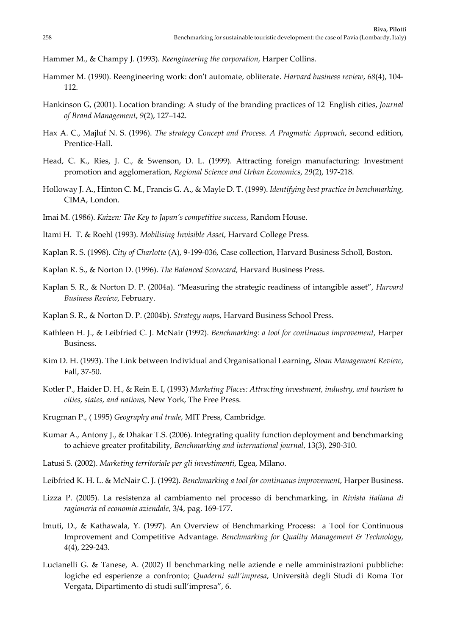Hammer M., & Champy J. (1993). *Reengineering the corporation*, Harper Collins.

- Hammer M. (1990). Reengineering work: don't automate, obliterate. *Harvard business review*, *68*(4), 104- 112.
- Hankinson G, (2001). Location branding: A study of the branding practices of 12 English cities, *Journal of Brand Management*, *9*(2), 127–142.
- Hax A. C., Majluf N. S. (1996). *The strategy Concept and Process. A Pragmatic Approach*, second edition, Prentice-Hall.
- Head, C. K., Ries, J. C., & Swenson, D. L. (1999). Attracting foreign manufacturing: Investment promotion and agglomeration, *Regional Science and Urban Economics*, *29*(2), 197-218.
- Holloway J. A., Hinton C. M., Francis G. A., & Mayle D. T. (1999). *Identifying best practice in benchmarking*, CIMA, London.
- Imai M. (1986). *Kaizen: The Key to Japan's competitive success*, Random House.
- Itami H. T. & Roehl (1993). *Mobilising Invisible Asset*, Harvard College Press.
- Kaplan R. S. (1998). *City of Charlotte* (A), 9-199-036, Case collection, Harvard Business Scholl, Boston.
- Kaplan R. S., & Norton D. (1996). *The Balanced Scorecard,* Harvard Business Press.
- Kaplan S. R., & Norton D. P. (2004a). "Measuring the strategic readiness of intangible asset", *Harvard Business Review*, February.
- Kaplan S. R., & Norton D. P. (2004b). *Strategy map*s, Harvard Business School Press.
- Kathleen H. J., & Leibfried C. J. McNair (1992). *Benchmarking: a tool for continuous improvement*, Harper Business.
- Kim D. H. (1993). The Link between Individual and Organisational Learning, *Sloan Management Review*, Fall, 37-50.
- Kotler P., Haider D. H., & Rein E. I, (1993) *Marketing Places: Attracting investment, industry, and tourism to cities, states, and nations*, New York, The Free Press.
- Krugman P., ( 1995) *Geography and trade*, MIT Press, Cambridge.
- Kumar A., Antony J., & Dhakar T.S. (2006). Integrating quality function deployment and benchmarking to achieve greater profitability*, Benchmarking and international journal*, 13(3), 290-310.
- Latusi S. (2002). *Marketing territoriale per gli investimenti*, Egea, Milano.
- Leibfried K. H. L. & McNair C. J. (1992). *Benchmarking a tool for continuous improvement*, Harper Business.
- Lizza P. (2005). La resistenza al cambiamento nel processo di benchmarking, in *Rivista italiana di ragioneria ed economia aziendale*, 3/4, pag. 169-177.
- lmuti, D., & Kathawala, Y. (1997). An Overview of Benchmarking Process: a Tool for Continuous Improvement and Competitive Advantage. *Benchmarking for Quality Management & Technology*, *4*(4), 229-243.
- Lucianelli G. & Tanese, A. (2002) Il benchmarking nelle aziende e nelle amministrazioni pubbliche: logiche ed esperienze a confronto; *Quaderni sull'impresa*, Università degli Studi di Roma Tor Vergata, Dipartimento di studi sull'impresa", 6.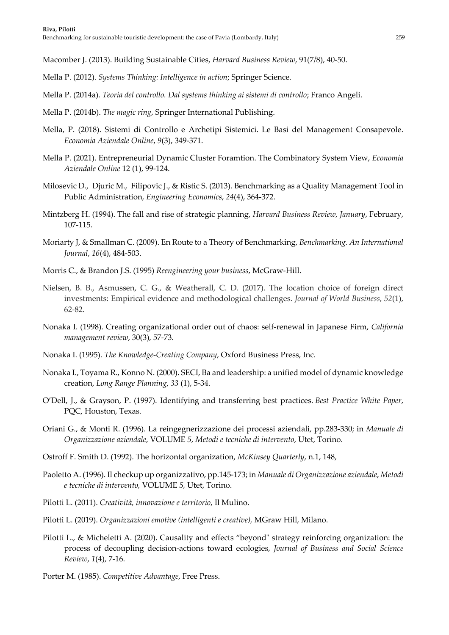Macomber J. (2013). Building Sustainable Cities, *Harvard Business Review*, 91(7/8), 40-50.

- Mella P. (2012). *Systems Thinking: Intelligence in action*; Springer Science.
- Mella P. (2014a). *Teoria del controllo. Dal systems thinking ai sistemi di controllo*; Franco Angeli.
- Mella P. (2014b). *The magic ring*, Springer International Publishing.
- Mella, P. (2018). Sistemi di Controllo e Archetipi Sistemici. Le Basi del Management Consapevole. *Economia Aziendale Online*, *9*(3), 349-371.
- Mella P. (2021). Entrepreneurial Dynamic Cluster Foramtion. The Combinatory System View, *Economia Aziendale Online* 12 (1), 99-124.
- Milosevic D., Djuric M., Filipovic J., & Ristic S. (2013). Benchmarking as a Quality Management Tool in Public Administration, *Engineering Economics*, *24*(4), 364-372.
- Mintzberg H. (1994). The fall and rise of strategic planning, *Harvard Business Review, January*, February, 107-115.
- Moriarty J, & Smallman C. (2009). En Route to a Theory of Benchmarking, *Benchmarking. An International Journal*, *16*(4), 484-503.
- Morris C., & Brandon J.S. (1995) *Reengineering your business*, McGraw-Hill.
- Nielsen, B. B., Asmussen, C. G., & Weatherall, C. D. (2017). The location choice of foreign direct investments: Empirical evidence and methodological challenges. *Journal of World Business*, *52*(1), 62-82.
- Nonaka I. (1998). Creating organizational order out of chaos: self-renewal in Japanese Firm, *California management review*, 30(3), 57-73.
- Nonaka I. (1995). *The Knowledge-Creating Company*, Oxford Business Press, Inc.
- Nonaka I., Toyama R., Konno N. (2000). SECI, Ba and leadership: a unified model of dynamic knowledge creation, *Long Range Planning*, *33* (1), 5-34.
- O'Dell, J., & Grayson, P. (1997). Identifying and transferring best practices. *Best Practice White Paper*, PQC, Houston, Texas.
- Oriani G., & Monti R. (1996). La reingegnerizzazione dei processi aziendali, pp.283-330; in *Manuale di Organizzazione aziendale*, VOLUME *5*, *Metodi e tecniche di intervento*, Utet, Torino.
- Ostroff F. Smith D. (1992). The horizontal organization, *McKinsey Quarterly*, n.1, 148,
- Paoletto A. (1996). Il checkup up organizzativo, pp.145-173; in *Manuale di Organizzazione aziendale*, *Metodi e tecniche di intervento,* VOLUME *5,* Utet, Torino.
- Pilotti L. (2011). *Creatività, innovazione e territorio*, Il Mulino.
- Pilotti L. (2019). *Organizzazioni emotive (intelligenti e creative),* MGraw Hill, Milano.
- Pilotti L., & Micheletti A. (2020). Causality and effects "beyond" strategy reinforcing organization: the process of decoupling decision-actions toward ecologies, *Journal of Business and Social Science Review*, *1*(4), 7-16.
- Porter M. (1985). *Competitive Advantage*, Free Press.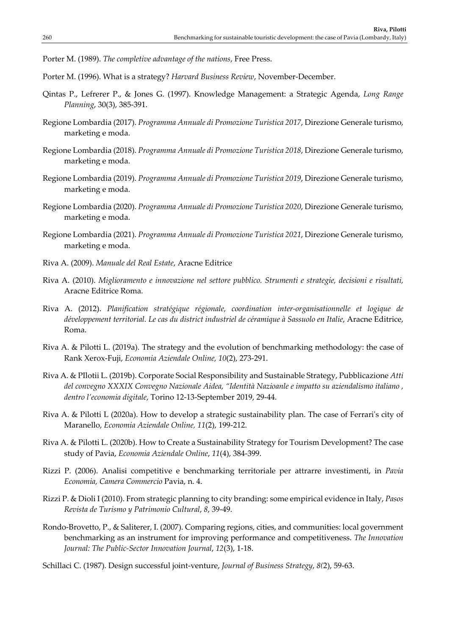Porter M. (1989). *The completive advantage of the nations*, Free Press.

- Porter M. (1996). What is a strategy? *Harvard Business Review*, November-December.
- Qintas P., Lefrerer P., & Jones G. (1997). Knowledge Management: a Strategic Agenda, *Long Range Planning*, 30(3), 385-391.
- Regione Lombardia (2017). *Programma Annuale di Promozione Turistica 2017*, Direzione Generale turismo, marketing e moda.
- Regione Lombardia (2018). *Programma Annuale di Promozione Turistica 2018*, Direzione Generale turismo, marketing e moda.
- Regione Lombardia (2019). *Programma Annuale di Promozione Turistica 2019*, Direzione Generale turismo, marketing e moda.
- Regione Lombardia (2020). *Programma Annuale di Promozione Turistica 2020*, Direzione Generale turismo, marketing e moda.
- Regione Lombardia (2021). *Programma Annuale di Promozione Turistica 2021*, Direzione Generale turismo, marketing e moda.
- Riva A. (2009). *Manuale del Real Estate*, Aracne Editrice
- Riva A. (2010). *Miglioramento e innovazione nel settore pubblico. Strumenti e strategie, decisioni e risultati,* Aracne Editrice Roma.
- Riva A. (2012). *Planification stratégique régionale, coordination inter-organisationnelle et logique de développement territorial. Le cas du district industriel de céramique à Sassuolo en Italie*, Aracne Editrice, Roma.
- Riva A. & Pilotti L. (2019a). The strategy and the evolution of benchmarking methodology: the case of Rank Xerox-Fuji, *Economia Aziendale Online, 10*(2), 273-291.
- Riva A. & PIlotii L. (2019b). Corporate Social Responsibility and Sustainable Strategy, Pubblicazione *Atti del convegno XXXIX Convegno Nazionale Aidea, "Identità Nazioanle e impatto su aziendalismo italiano , dentro l'economia digitale*, Torino 12-13-September 2019, 29-44.
- Riva A. & Pilotti L (2020a). How to develop a strategic sustainability plan. The case of Ferrari's city of Maranello, *Economia Aziendale Online, 11*(2), 199-212.
- Riva A. & Pilotti L. (2020b). How to Create a Sustainability Strategy for Tourism Development? The case study of Pavia, *Economia Aziendale Online*, *11*(4), 384-399.
- Rizzi P. (2006). Analisi competitive e benchmarking territoriale per attrarre investimenti, in *Pavia Economia, Camera Commercio* Pavia, n. 4.
- Rizzi P. & Dioli I (2010). From strategic planning to city branding: some empirical evidence in Italy, *Pasos Revista de Turismo y Patrimonio Cultural*, *8*, 39-49.
- Rondo-Brovetto, P., & Saliterer, I. (2007). Comparing regions, cities, and communities: local government benchmarking as an instrument for improving performance and competitiveness. *The Innovation Journal: The Public-Sector Innovation Journal*, *12*(3), 1-18.
- Schillaci C. (1987). Design successful joint-venture, *Journal of Business Strategy*, *8(*2), 59-63.